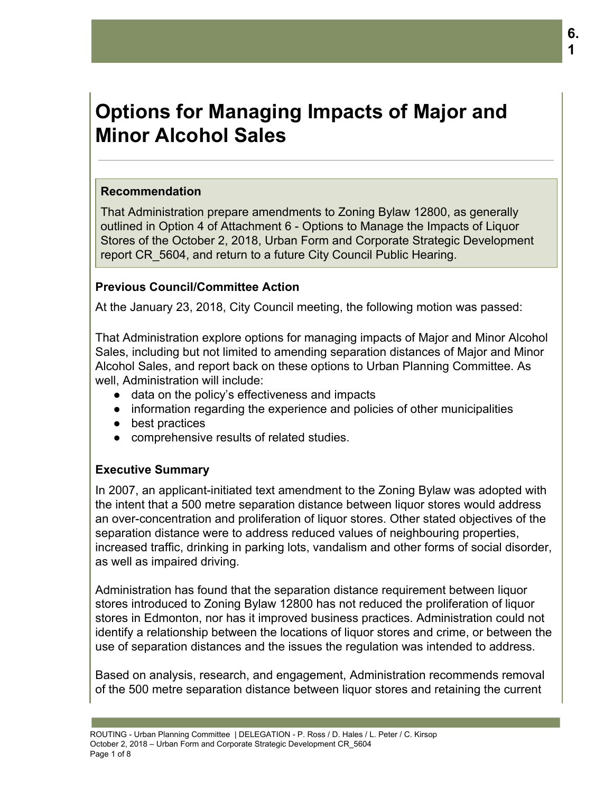# **Options for Managing Impacts of Major and Minor Alcohol Sales**

#### **Recommendation**

That Administration prepare amendments to Zoning Bylaw 12800, as generally outlined in Option 4 of Attachment 6 - Options to Manage the Impacts of Liquor Stores of the October 2, 2018, Urban Form and Corporate Strategic Development report CR\_5604, and return to a future City Council Public Hearing.

#### **Previous Council/Committee Action**

At the January 23, 2018, City Council meeting, the following motion was passed:

That Administration explore options for managing impacts of Major and Minor Alcohol Sales, including but not limited to amending separation distances of Major and Minor Alcohol Sales, and report back on these options to Urban Planning Committee. As well, Administration will include:

- data on the policy's effectiveness and impacts
- information regarding the experience and policies of other municipalities
- best practices
- comprehensive results of related studies.

#### **Executive Summary**

In 2007, an applicant-initiated text amendment to the Zoning Bylaw was adopted with the intent that a 500 metre separation distance between liquor stores would address an over-concentration and proliferation of liquor stores. Other stated objectives of the separation distance were to address reduced values of neighbouring properties, increased traffic, drinking in parking lots, vandalism and other forms of social disorder, as well as impaired driving.

Administration has found that the separation distance requirement between liquor stores introduced to Zoning Bylaw 12800 has not reduced the proliferation of liquor stores in Edmonton, nor has it improved business practices. Administration could not identify a relationship between the locations of liquor stores and crime, or between the use of separation distances and the issues the regulation was intended to address.

Based on analysis, research, and engagement, Administration recommends removal of the 500 metre separation distance between liquor stores and retaining the current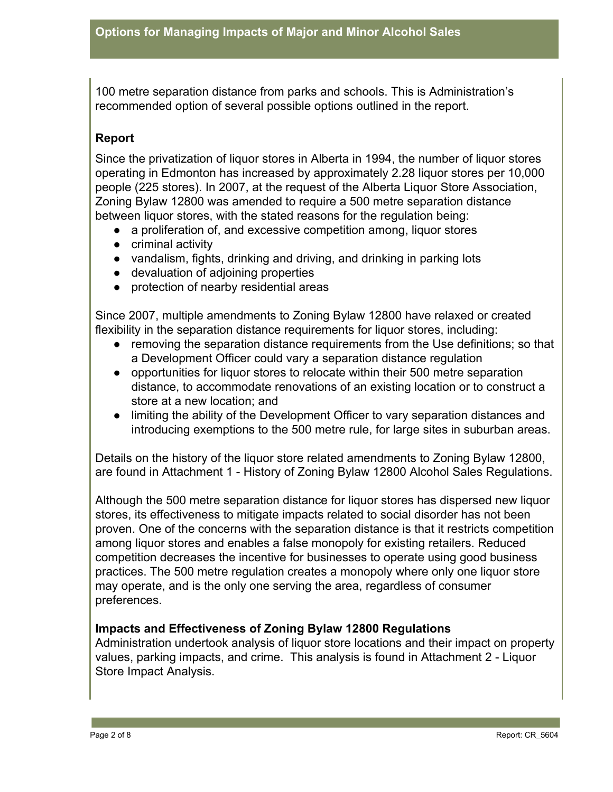100 metre separation distance from parks and schools. This is Administration's recommended option of several possible options outlined in the report.

#### **Report**

Since the privatization of liquor stores in Alberta in 1994, the number of liquor stores operating in Edmonton has increased by approximately 2.28 liquor stores per 10,000 people (225 stores). In 2007, at the request of the Alberta Liquor Store Association, Zoning Bylaw 12800 was amended to require a 500 metre separation distance between liquor stores, with the stated reasons for the regulation being:

- a proliferation of, and excessive competition among, liquor stores
- criminal activity
- vandalism, fights, drinking and driving, and drinking in parking lots
- devaluation of adjoining properties
- protection of nearby residential areas

Since 2007, multiple amendments to Zoning Bylaw 12800 have relaxed or created flexibility in the separation distance requirements for liquor stores, including:

- removing the separation distance requirements from the Use definitions; so that a Development Officer could vary a separation distance regulation
- opportunities for liquor stores to relocate within their 500 metre separation distance, to accommodate renovations of an existing location or to construct a store at a new location; and
- limiting the ability of the Development Officer to vary separation distances and introducing exemptions to the 500 metre rule, for large sites in suburban areas.

Details on the history of the liquor store related amendments to Zoning Bylaw 12800, are found in Attachment 1 - History of Zoning Bylaw 12800 Alcohol Sales Regulations.

Although the 500 metre separation distance for liquor stores has dispersed new liquor stores, its effectiveness to mitigate impacts related to social disorder has not been proven. One of the concerns with the separation distance is that it restricts competition among liquor stores and enables a false monopoly for existing retailers. Reduced competition decreases the incentive for businesses to operate using good business practices. The 500 metre regulation creates a monopoly where only one liquor store may operate, and is the only one serving the area, regardless of consumer preferences.

#### **Impacts and Effectiveness of Zoning Bylaw 12800 Regulations**

Administration undertook analysis of liquor store locations and their impact on property values, parking impacts, and crime. This analysis is found in Attachment 2 - Liquor Store Impact Analysis.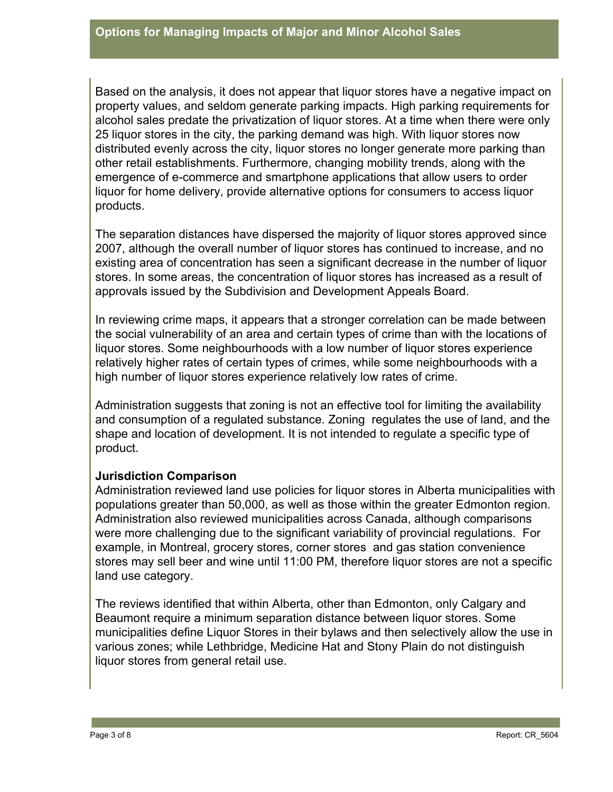Based on the analysis, it does not appear that liquor stores have a negative impact on property values, and seldom generate parking impacts. High parking requirements for alcohol sales predate the privatization of liquor stores. At a time when there were only 25 liquor stores in the city, the parking demand was high. With liquor stores now distributed evenly across the city, liquor stores no longer generate more parking than other retail establishments. Furthermore, changing mobility trends, along with the emergence of e-commerce and smartphone applications that allow users to order liquor for home delivery, provide alternative options for consumers to access liquor products.

The separation distances have dispersed the majority of liquor stores approved since 2007, although the overall number of liquor stores has continued to increase, and no existing area of concentration has seen a significant decrease in the number of liquor stores. In some areas, the concentration of liquor stores has increased as a result of approvals issued by the Subdivision and Development Appeals Board.

In reviewing crime maps, it appears that a stronger correlation can be made between the social vulnerability of an area and certain types of crime than with the locations of liquor stores. Some neighbourhoods with a low number of liquor stores experience relatively higher rates of certain types of crimes, while some neighbourhoods with a high number of liquor stores experience relatively low rates of crime.

Administration suggests that zoning is not an effective tool for limiting the availability and consumption of a regulated substance. Zoning regulates the use of land, and the shape and location of development. It is not intended to regulate a specific type of product.

#### **Jurisdiction Comparison**

Administration reviewed land use policies for liquor stores in Alberta municipalities with populations greater than 50,000, as well as those within the greater Edmonton region. Administration also reviewed municipalities across Canada, although comparisons were more challenging due to the significant variability of provincial regulations. For example, in Montreal, grocery stores, corner stores and gas station convenience stores may sell beer and wine until 11:00 PM, therefore liquor stores are not a specific land use category.

The reviews identified that within Alberta, other than Edmonton, only Calgary and Beaumont require a minimum separation distance between liquor stores. Some municipalities define Liquor Stores in their bylaws and then selectively allow the use in various zones; while Lethbridge, Medicine Hat and Stony Plain do not distinguish liquor stores from general retail use.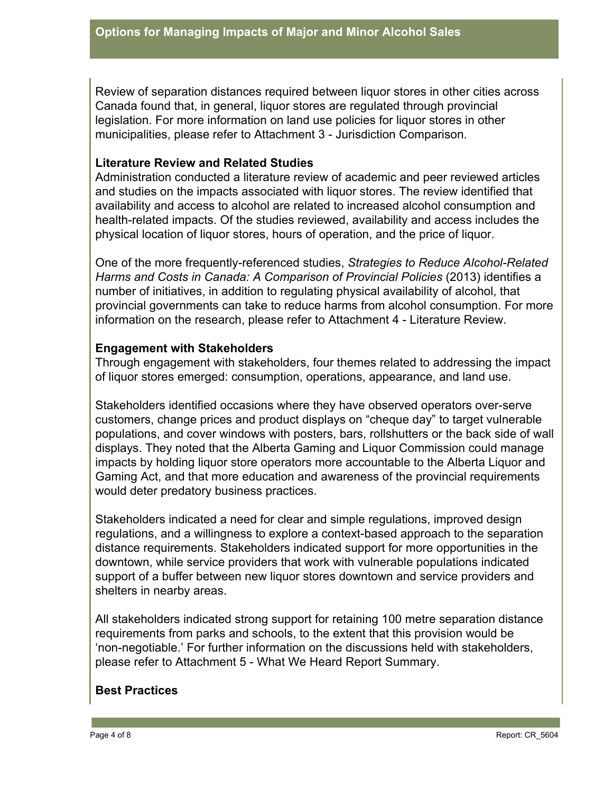Review of separation distances required between liquor stores in other cities across Canada found that, in general, liquor stores are regulated through provincial legislation. For more information on land use policies for liquor stores in other municipalities, please refer to Attachment 3 - Jurisdiction Comparison.

#### **Literature Review and Related Studies**

Administration conducted a literature review of academic and peer reviewed articles and studies on the impacts associated with liquor stores. The review identified that availability and access to alcohol are related to increased alcohol consumption and health-related impacts. Of the studies reviewed, availability and access includes the physical location of liquor stores, hours of operation, and the price of liquor.

One of the more frequently-referenced studies, *Strategies to Reduce Alcohol-Related Harms and Costs in Canada: A Comparison of Provincial Policies* (2013) identifies a number of initiatives, in addition to regulating physical availability of alcohol, that provincial governments can take to reduce harms from alcohol consumption. For more information on the research, please refer to Attachment 4 - Literature Review.

#### **Engagement with Stakeholders**

Through engagement with stakeholders, four themes related to addressing the impact of liquor stores emerged: consumption, operations, appearance, and land use.

Stakeholders identified occasions where they have observed operators over-serve customers, change prices and product displays on "cheque day" to target vulnerable populations, and cover windows with posters, bars, rollshutters or the back side of wall displays. They noted that the Alberta Gaming and Liquor Commission could manage impacts by holding liquor store operators more accountable to the Alberta Liquor and Gaming Act, and that more education and awareness of the provincial requirements would deter predatory business practices.

Stakeholders indicated a need for clear and simple regulations, improved design regulations, and a willingness to explore a context-based approach to the separation distance requirements. Stakeholders indicated support for more opportunities in the downtown, while service providers that work with vulnerable populations indicated support of a buffer between new liquor stores downtown and service providers and shelters in nearby areas.

All stakeholders indicated strong support for retaining 100 metre separation distance requirements from parks and schools, to the extent that this provision would be 'non-negotiable.' For further information on the discussions held with stakeholders, please refer to Attachment 5 - What We Heard Report Summary.

# **Best Practices**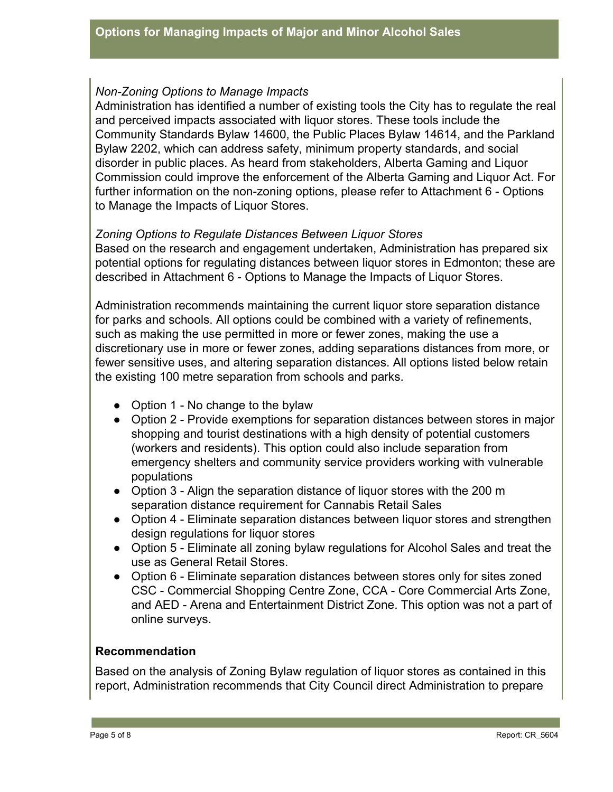#### *Non-Zoning Options to Manage Impacts*

Administration has identified a number of existing tools the City has to regulate the real and perceived impacts associated with liquor stores. These tools include the Community Standards Bylaw 14600, the Public Places Bylaw 14614, and the Parkland Bylaw 2202, which can address safety, minimum property standards, and social disorder in public places. As heard from stakeholders, Alberta Gaming and Liquor Commission could improve the enforcement of the Alberta Gaming and Liquor Act. For further information on the non-zoning options, please refer to Attachment 6 - Options to Manage the Impacts of Liquor Stores.

#### *Zoning Options to Regulate Distances Between Liquor Stores*

Based on the research and engagement undertaken, Administration has prepared six potential options for regulating distances between liquor stores in Edmonton; these are described in Attachment 6 - Options to Manage the Impacts of Liquor Stores.

Administration recommends maintaining the current liquor store separation distance for parks and schools. All options could be combined with a variety of refinements, such as making the use permitted in more or fewer zones, making the use a discretionary use in more or fewer zones, adding separations distances from more, or fewer sensitive uses, and altering separation distances. All options listed below retain the existing 100 metre separation from schools and parks.

- Option 1 No change to the bylaw
- Option 2 Provide exemptions for separation distances between stores in major shopping and tourist destinations with a high density of potential customers (workers and residents). This option could also include separation from emergency shelters and community service providers working with vulnerable populations
- Option 3 Align the separation distance of liguor stores with the 200 m separation distance requirement for Cannabis Retail Sales
- Option 4 Eliminate separation distances between liquor stores and strengthen design regulations for liquor stores
- Option 5 Eliminate all zoning bylaw regulations for Alcohol Sales and treat the use as General Retail Stores.
- Option 6 Eliminate separation distances between stores only for sites zoned CSC - Commercial Shopping Centre Zone, CCA - Core Commercial Arts Zone, and AED - Arena and Entertainment District Zone. This option was not a part of online surveys.

#### **Recommendation**

Based on the analysis of Zoning Bylaw regulation of liquor stores as contained in this report, Administration recommends that City Council direct Administration to prepare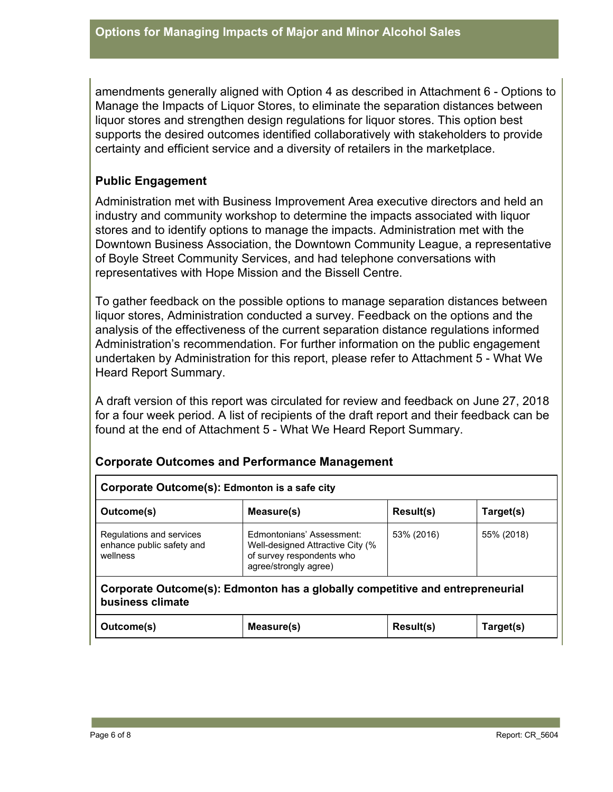amendments generally aligned with Option 4 as described in Attachment 6 - Options to Manage the Impacts of Liquor Stores, to eliminate the separation distances between liquor stores and strengthen design regulations for liquor stores. This option best supports the desired outcomes identified collaboratively with stakeholders to provide certainty and efficient service and a diversity of retailers in the marketplace.

## **Public Engagement**

Administration met with Business Improvement Area executive directors and held an industry and community workshop to determine the impacts associated with liquor stores and to identify options to manage the impacts. Administration met with the Downtown Business Association, the Downtown Community League, a representative of Boyle Street Community Services, and had telephone conversations with representatives with Hope Mission and the Bissell Centre.

To gather feedback on the possible options to manage separation distances between liquor stores, Administration conducted a survey. Feedback on the options and the analysis of the effectiveness of the current separation distance regulations informed Administration's recommendation. For further information on the public engagement undertaken by Administration for this report, please refer to Attachment 5 - What We Heard Report Summary.

A draft version of this report was circulated for review and feedback on June 27, 2018 for a four week period. A list of recipients of the draft report and their feedback can be found at the end of Attachment 5 - What We Heard Report Summary.

#### **Corporate Outcomes and Performance Management**

| Corporate Outcome(s): Edmonton is a safe city                                                     |                                                                                                                     |                  |            |  |  |  |  |  |
|---------------------------------------------------------------------------------------------------|---------------------------------------------------------------------------------------------------------------------|------------------|------------|--|--|--|--|--|
| Outcome(s)                                                                                        | Measure(s)                                                                                                          | Result(s)        | Target(s)  |  |  |  |  |  |
| Regulations and services<br>enhance public safety and<br>wellness                                 | Edmontonians' Assessment:<br>Well-designed Attractive City (%<br>of survey respondents who<br>agree/strongly agree) | 53% (2016)       | 55% (2018) |  |  |  |  |  |
| Corporate Outcome(s): Edmonton has a globally competitive and entrepreneurial<br>business climate |                                                                                                                     |                  |            |  |  |  |  |  |
| Outcome(s)                                                                                        | Measure(s)                                                                                                          | <b>Result(s)</b> | Target(s)  |  |  |  |  |  |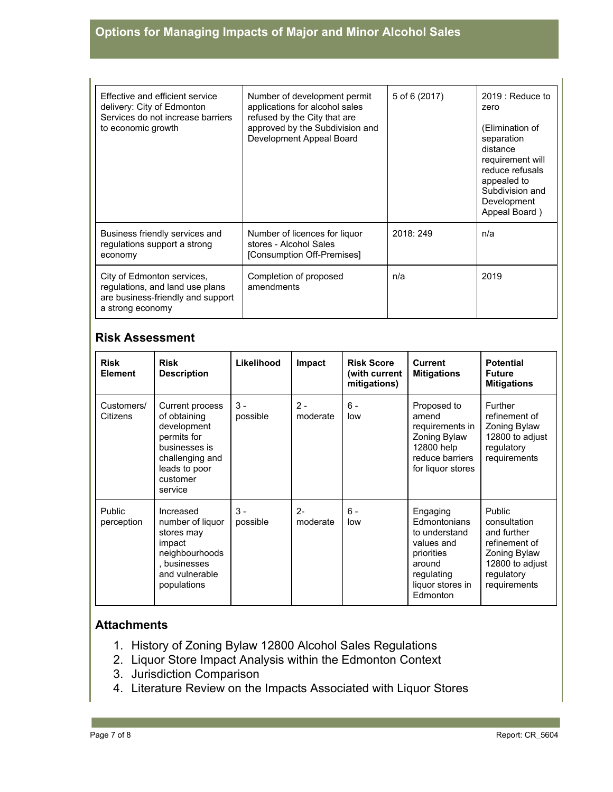# **Options for Managing Impacts of Major and Minor Alcohol Sales**

| Effective and efficient service<br>delivery: City of Edmonton<br>Services do not increase barriers<br>to economic growth | Number of development permit<br>applications for alcohol sales<br>refused by the City that are<br>approved by the Subdivision and<br>Development Appeal Board | 5 of 6 (2017) | 2019 : Reduce to<br>zero<br>(Elimination of<br>separation<br>distance<br>requirement will<br>reduce refusals<br>appealed to<br>Subdivision and<br>Development<br>Appeal Board) |
|--------------------------------------------------------------------------------------------------------------------------|---------------------------------------------------------------------------------------------------------------------------------------------------------------|---------------|--------------------------------------------------------------------------------------------------------------------------------------------------------------------------------|
| Business friendly services and<br>regulations support a strong<br>economy                                                | Number of licences for liquor<br>stores - Alcohol Sales<br>[Consumption Off-Premises]                                                                         | 2018: 249     | n/a                                                                                                                                                                            |
| City of Edmonton services,<br>regulations, and land use plans<br>are business-friendly and support<br>a strong economy   | Completion of proposed<br>amendments                                                                                                                          | n/a           | 2019                                                                                                                                                                           |

### **Risk Assessment**

| <b>Risk</b><br><b>Element</b> | <b>Risk</b><br><b>Description</b>                                                                                                         | Likelihood        | Impact            | <b>Risk Score</b><br>(with current<br>mitigations) | <b>Current</b><br><b>Mitigations</b>                                                                                          | <b>Potential</b><br><b>Future</b><br><b>Mitigations</b>                                                                 |
|-------------------------------|-------------------------------------------------------------------------------------------------------------------------------------------|-------------------|-------------------|----------------------------------------------------|-------------------------------------------------------------------------------------------------------------------------------|-------------------------------------------------------------------------------------------------------------------------|
| Customers/<br>Citizens        | Current process<br>of obtaining<br>development<br>permits for<br>businesses is<br>challenging and<br>leads to poor<br>customer<br>service | $3 -$<br>possible | $2 -$<br>moderate | $6 -$<br>low                                       | Proposed to<br>amend<br>requirements in<br>Zoning Bylaw<br>12800 help<br>reduce barriers<br>for liquor stores                 | Further<br>refinement of<br>Zoning Bylaw<br>12800 to adjust<br>regulatory<br>requirements                               |
| Public<br>perception          | Increased<br>number of liquor<br>stores may<br>impact<br>neighbourhoods<br>, businesses<br>and vulnerable<br>populations                  | $3 -$<br>possible | $2 -$<br>moderate | $6 -$<br>low                                       | Engaging<br>Edmontonians<br>to understand<br>values and<br>priorities<br>around<br>regulating<br>liquor stores in<br>Edmonton | Public<br>consultation<br>and further<br>refinement of<br>Zoning Bylaw<br>12800 to adjust<br>regulatory<br>requirements |

#### **Attachments**

- 1. History of Zoning Bylaw 12800 Alcohol Sales Regulations
- 2. Liquor Store Impact Analysis within the Edmonton Context
- 3. Jurisdiction Comparison
- 4. Literature Review on the Impacts Associated with Liquor Stores